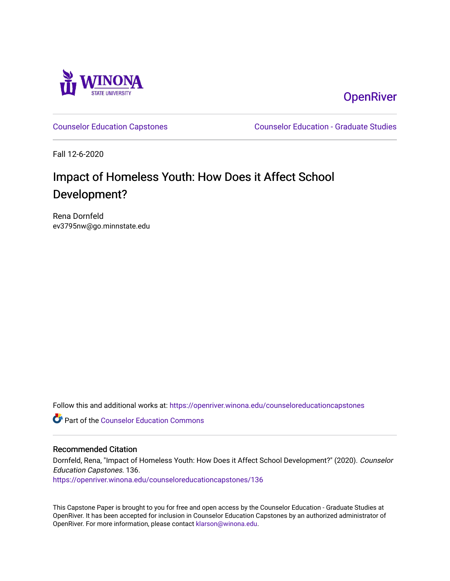

**OpenRiver** 

[Counselor Education Capstones](https://openriver.winona.edu/counseloreducationcapstones) [Counselor Education - Graduate Studies](https://openriver.winona.edu/counseloreducation) 

Fall 12-6-2020

# Impact of Homeless Youth: How Does it Affect School Development?

Rena Dornfeld ev3795nw@go.minnstate.edu

Follow this and additional works at: [https://openriver.winona.edu/counseloreducationcapstones](https://openriver.winona.edu/counseloreducationcapstones?utm_source=openriver.winona.edu%2Fcounseloreducationcapstones%2F136&utm_medium=PDF&utm_campaign=PDFCoverPages)

**C** Part of the Counselor Education Commons

## Recommended Citation

Dornfeld, Rena, "Impact of Homeless Youth: How Does it Affect School Development?" (2020). Counselor Education Capstones. 136.

[https://openriver.winona.edu/counseloreducationcapstones/136](https://openriver.winona.edu/counseloreducationcapstones/136?utm_source=openriver.winona.edu%2Fcounseloreducationcapstones%2F136&utm_medium=PDF&utm_campaign=PDFCoverPages)

This Capstone Paper is brought to you for free and open access by the Counselor Education - Graduate Studies at OpenRiver. It has been accepted for inclusion in Counselor Education Capstones by an authorized administrator of OpenRiver. For more information, please contact [klarson@winona.edu](mailto:klarson@winona.edu).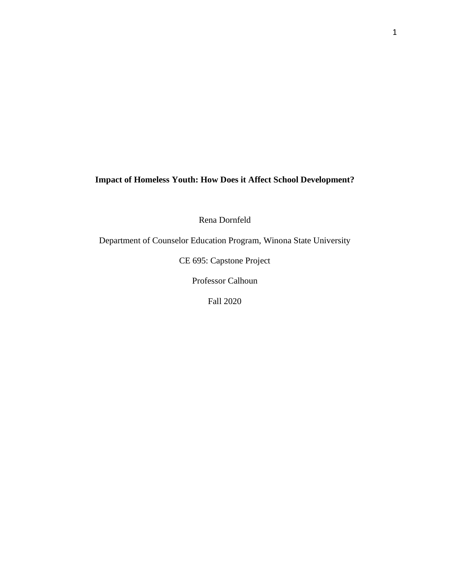**Impact of Homeless Youth: How Does it Affect School Development?**

Rena Dornfeld

Department of Counselor Education Program, Winona State University

CE 695: Capstone Project

Professor Calhoun

Fall 2020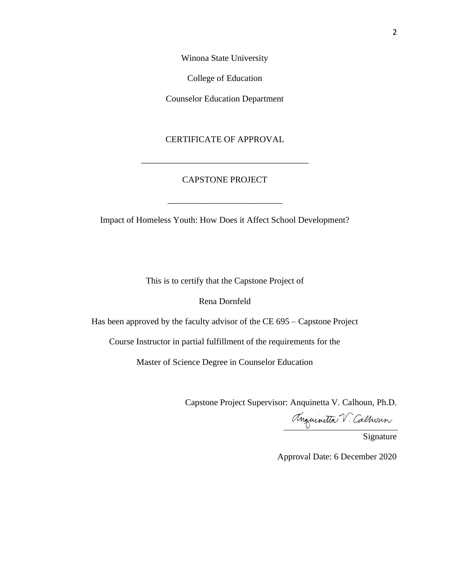Winona State University

College of Education

Counselor Education Department

# CERTIFICATE OF APPROVAL

# CAPSTONE PROJECT

\_\_\_\_\_\_\_\_\_\_\_\_\_\_\_\_\_\_\_\_\_\_\_\_\_\_

\_\_\_\_\_\_\_\_\_\_\_\_\_\_\_\_\_\_\_\_\_\_\_\_\_\_\_\_\_\_\_\_\_\_\_\_\_\_

Impact of Homeless Youth: How Does it Affect School Development?

This is to certify that the Capstone Project of

# Rena Dornfeld

Has been approved by the faculty advisor of the CE 695 – Capstone Project

Course Instructor in partial fulfillment of the requirements for the

Master of Science Degree in Counselor Education

Capstone Project Supervisor: Anquinetta V. Calhoun, Ph.D.

Anguinitta V. Calhoun

Signature

Approval Date: 6 December 2020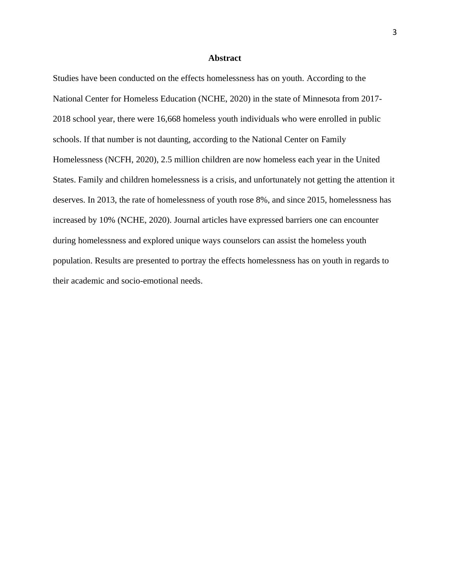#### **Abstract**

Studies have been conducted on the effects homelessness has on youth. According to the National Center for Homeless Education (NCHE, 2020) in the state of Minnesota from 2017- 2018 school year, there were 16,668 homeless youth individuals who were enrolled in public schools. If that number is not daunting, according to the National Center on Family Homelessness (NCFH, 2020), 2.5 million children are now homeless each year in the United States. Family and children homelessness is a crisis, and unfortunately not getting the attention it deserves. In 2013, the rate of homelessness of youth rose 8%, and since 2015, homelessness has increased by 10% (NCHE, 2020). Journal articles have expressed barriers one can encounter during homelessness and explored unique ways counselors can assist the homeless youth population. Results are presented to portray the effects homelessness has on youth in regards to their academic and socio-emotional needs.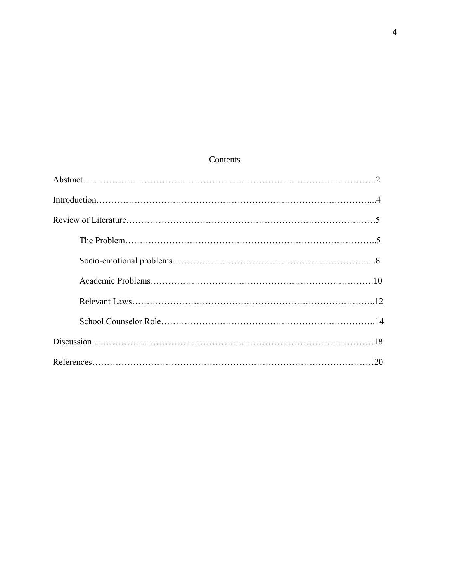# Contents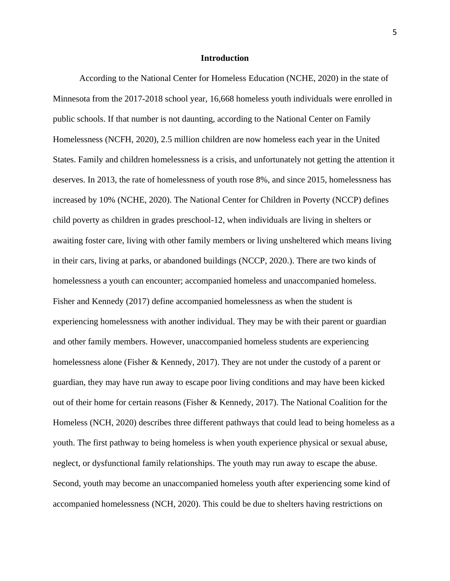#### **Introduction**

According to the National Center for Homeless Education (NCHE, 2020) in the state of Minnesota from the 2017-2018 school year, 16,668 homeless youth individuals were enrolled in public schools. If that number is not daunting, according to the National Center on Family Homelessness (NCFH, 2020), 2.5 million children are now homeless each year in the United States. Family and children homelessness is a crisis, and unfortunately not getting the attention it deserves. In 2013, the rate of homelessness of youth rose 8%, and since 2015, homelessness has increased by 10% (NCHE, 2020). The National Center for Children in Poverty (NCCP) defines child poverty as children in grades preschool-12, when individuals are living in shelters or awaiting foster care, living with other family members or living unsheltered which means living in their cars, living at parks, or abandoned buildings (NCCP, 2020.). There are two kinds of homelessness a youth can encounter; accompanied homeless and unaccompanied homeless. Fisher and Kennedy (2017) define accompanied homelessness as when the student is experiencing homelessness with another individual. They may be with their parent or guardian and other family members. However, unaccompanied homeless students are experiencing homelessness alone (Fisher & Kennedy, 2017). They are not under the custody of a parent or guardian, they may have run away to escape poor living conditions and may have been kicked out of their home for certain reasons (Fisher & Kennedy, 2017). The National Coalition for the Homeless (NCH, 2020) describes three different pathways that could lead to being homeless as a youth. The first pathway to being homeless is when youth experience physical or sexual abuse, neglect, or dysfunctional family relationships. The youth may run away to escape the abuse. Second, youth may become an unaccompanied homeless youth after experiencing some kind of accompanied homelessness (NCH, 2020). This could be due to shelters having restrictions on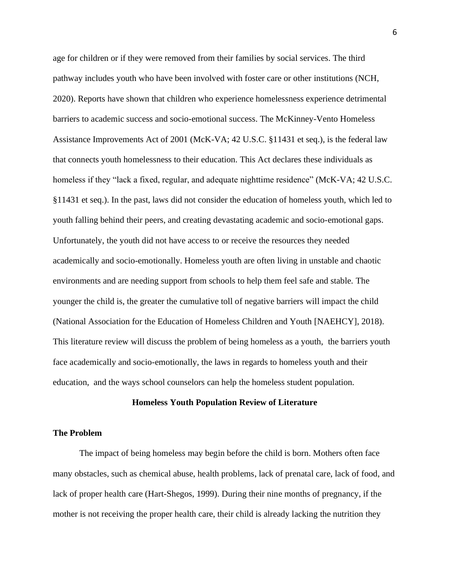age for children or if they were removed from their families by social services. The third pathway includes youth who have been involved with foster care or other institutions (NCH, 2020). Reports have shown that children who experience homelessness experience detrimental barriers to academic success and socio-emotional success. The McKinney-Vento Homeless Assistance Improvements Act of 2001 (McK-VA; 42 U.S.C. §11431 et seq.), is the federal law that connects youth homelessness to their education. This Act declares these individuals as homeless if they "lack a fixed, regular, and adequate nighttime residence" (McK-VA; 42 U.S.C. §11431 et seq.). In the past, laws did not consider the education of homeless youth, which led to youth falling behind their peers, and creating devastating academic and socio-emotional gaps. Unfortunately, the youth did not have access to or receive the resources they needed academically and socio-emotionally. Homeless youth are often living in unstable and chaotic environments and are needing support from schools to help them feel safe and stable. The younger the child is, the greater the cumulative toll of negative barriers will impact the child (National Association for the Education of Homeless Children and Youth [NAEHCY], 2018). This literature review will discuss the problem of being homeless as a youth, the barriers youth face academically and socio-emotionally, the laws in regards to homeless youth and their education, and the ways school counselors can help the homeless student population.

#### **Homeless Youth Population Review of Literature**

# **The Problem**

The impact of being homeless may begin before the child is born. Mothers often face many obstacles, such as chemical abuse, health problems, lack of prenatal care, lack of food, and lack of proper health care (Hart-Shegos, 1999). During their nine months of pregnancy, if the mother is not receiving the proper health care, their child is already lacking the nutrition they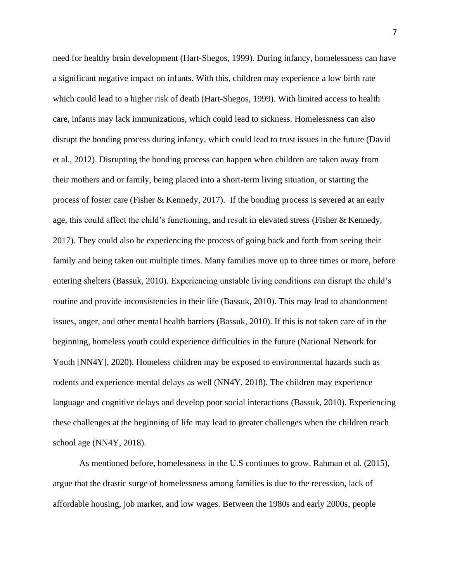need for healthy brain development (Hart-Shegos, 1999). During infancy, homelessness can have a significant negative impact on infants. With this, children may experience a low birth rate which could lead to a higher risk of death (Hart-Shegos, 1999). With limited access to health care, infants may lack immunizations, which could lead to sickness. Homelessness can also disrupt the bonding process during infancy, which could lead to trust issues in the future (David et al., 2012). Disrupting the bonding process can happen when children are taken away from their mothers and or family, being placed into a short-term living situation, or starting the process of foster care (Fisher & Kennedy, 2017). If the bonding process is severed at an early age, this could affect the child's functioning, and result in elevated stress (Fisher & Kennedy, 2017). They could also be experiencing the process of going back and forth from seeing their family and being taken out multiple times. Many families move up to three times or more, before entering shelters (Bassuk, 2010). Experiencing unstable living conditions can disrupt the child's routine and provide inconsistencies in their life (Bassuk, 2010). This may lead to abandonment issues, anger, and other mental health barriers (Bassuk, 2010). If this is not taken care of in the beginning, homeless youth could experience difficulties in the future (National Network for Youth [NN4Y], 2020). Homeless children may be exposed to environmental hazards such as rodents and experience mental delays as well (NN4Y, 2018). The children may experience language and cognitive delays and develop poor social interactions (Bassuk, 2010). Experiencing these challenges at the beginning of life may lead to greater challenges when the children reach school age (NN4Y, 2018).

As mentioned before, homelessness in the U.S continues to grow. Rahman et al. (2015), argue that the drastic surge of homelessness among families is due to the recession, lack of affordable housing, job market, and low wages. Between the 1980s and early 2000s, people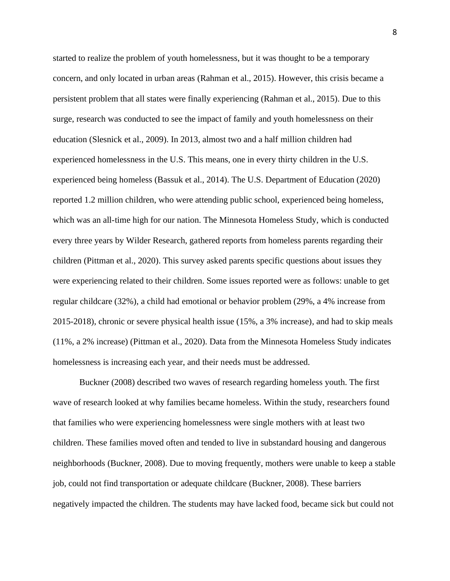started to realize the problem of youth homelessness, but it was thought to be a temporary concern, and only located in urban areas (Rahman et al., 2015). However, this crisis became a persistent problem that all states were finally experiencing (Rahman et al., 2015). Due to this surge, research was conducted to see the impact of family and youth homelessness on their education (Slesnick et al., 2009). In 2013, almost two and a half million children had experienced homelessness in the U.S. This means, one in every thirty children in the U.S. experienced being homeless (Bassuk et al., 2014). The U.S. Department of Education (2020) reported 1.2 million children, who were attending public school, experienced being homeless, which was an all-time high for our nation. The Minnesota Homeless Study, which is conducted every three years by Wilder Research, gathered reports from homeless parents regarding their children (Pittman et al., 2020). This survey asked parents specific questions about issues they were experiencing related to their children. Some issues reported were as follows: unable to get regular childcare (32%), a child had emotional or behavior problem (29%, a 4% increase from 2015-2018), chronic or severe physical health issue (15%, a 3% increase), and had to skip meals (11%, a 2% increase) (Pittman et al., 2020). Data from the Minnesota Homeless Study indicates homelessness is increasing each year, and their needs must be addressed.

Buckner (2008) described two waves of research regarding homeless youth. The first wave of research looked at why families became homeless. Within the study, researchers found that families who were experiencing homelessness were single mothers with at least two children. These families moved often and tended to live in substandard housing and dangerous neighborhoods (Buckner, 2008). Due to moving frequently, mothers were unable to keep a stable job, could not find transportation or adequate childcare (Buckner, 2008). These barriers negatively impacted the children. The students may have lacked food, became sick but could not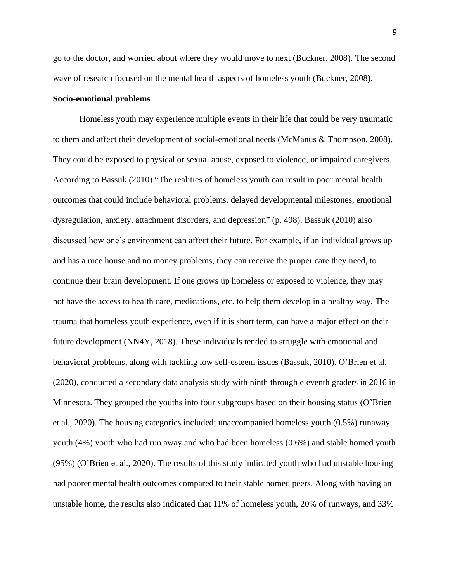go to the doctor, and worried about where they would move to next (Buckner, 2008). The second wave of research focused on the mental health aspects of homeless youth (Buckner, 2008).

#### **Socio-emotional problems**

Homeless youth may experience multiple events in their life that could be very traumatic to them and affect their development of social-emotional needs (McManus & Thompson, 2008). They could be exposed to physical or sexual abuse, exposed to violence, or impaired caregivers. According to Bassuk (2010) "The realities of homeless youth can result in poor mental health outcomes that could include behavioral problems, delayed developmental milestones, emotional dysregulation, anxiety, attachment disorders, and depression" (p. 498). Bassuk (2010) also discussed how one's environment can affect their future. For example, if an individual grows up and has a nice house and no money problems, they can receive the proper care they need, to continue their brain development. If one grows up homeless or exposed to violence, they may not have the access to health care, medications, etc. to help them develop in a healthy way. The trauma that homeless youth experience, even if it is short term, can have a major effect on their future development (NN4Y, 2018). These individuals tended to struggle with emotional and behavioral problems, along with tackling low self-esteem issues (Bassuk, 2010). O'Brien et al. (2020), conducted a secondary data analysis study with ninth through eleventh graders in 2016 in Minnesota. They grouped the youths into four subgroups based on their housing status (O'Brien et al., 2020). The housing categories included; unaccompanied homeless youth (0.5%) runaway youth (4%) youth who had run away and who had been homeless (0.6%) and stable homed youth (95%) (O'Brien et al., 2020). The results of this study indicated youth who had unstable housing had poorer mental health outcomes compared to their stable homed peers. Along with having an unstable home, the results also indicated that 11% of homeless youth, 20% of runways, and 33%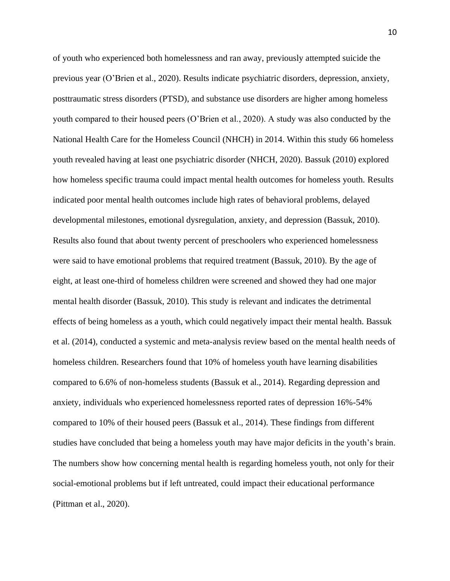of youth who experienced both homelessness and ran away, previously attempted suicide the previous year (O'Brien et al., 2020). Results indicate psychiatric disorders, depression, anxiety, posttraumatic stress disorders (PTSD), and substance use disorders are higher among homeless youth compared to their housed peers (O'Brien et al., 2020). A study was also conducted by the National Health Care for the Homeless Council (NHCH) in 2014. Within this study 66 homeless youth revealed having at least one psychiatric disorder (NHCH, 2020). Bassuk (2010) explored how homeless specific trauma could impact mental health outcomes for homeless youth. Results indicated poor mental health outcomes include high rates of behavioral problems, delayed developmental milestones, emotional dysregulation, anxiety, and depression (Bassuk, 2010). Results also found that about twenty percent of preschoolers who experienced homelessness were said to have emotional problems that required treatment (Bassuk, 2010). By the age of eight, at least one-third of homeless children were screened and showed they had one major mental health disorder (Bassuk, 2010). This study is relevant and indicates the detrimental effects of being homeless as a youth, which could negatively impact their mental health. Bassuk et al. (2014), conducted a systemic and meta-analysis review based on the mental health needs of homeless children. Researchers found that 10% of homeless youth have learning disabilities compared to 6.6% of non-homeless students (Bassuk et al., 2014). Regarding depression and anxiety, individuals who experienced homelessness reported rates of depression 16%-54% compared to 10% of their housed peers (Bassuk et al., 2014). These findings from different studies have concluded that being a homeless youth may have major deficits in the youth's brain. The numbers show how concerning mental health is regarding homeless youth, not only for their social-emotional problems but if left untreated, could impact their educational performance (Pittman et al., 2020).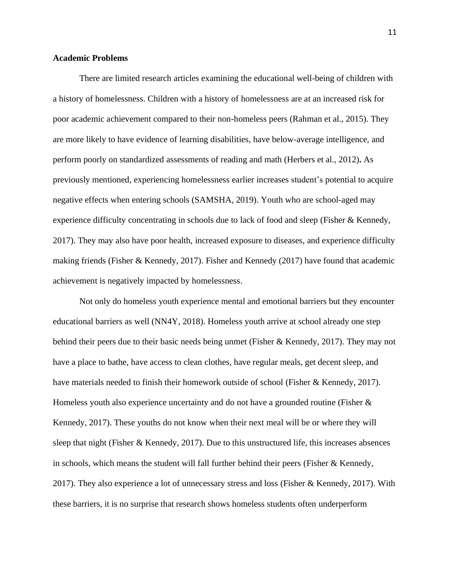## **Academic Problems**

There are limited research articles examining the educational well-being of children with a history of homelessness. Children with a history of homelessness are at an increased risk for poor academic achievement compared to their non-homeless peers (Rahman et al., 2015). They are more likely to have evidence of learning disabilities, have below-average intelligence, and perform poorly on standardized assessments of reading and math (Herbers et al., 2012)**.** As previously mentioned, experiencing homelessness earlier increases student's potential to acquire negative effects when entering schools (SAMSHA, 2019). Youth who are school-aged may experience difficulty concentrating in schools due to lack of food and sleep (Fisher & Kennedy, 2017). They may also have poor health, increased exposure to diseases, and experience difficulty making friends (Fisher & Kennedy, 2017). Fisher and Kennedy (2017) have found that academic achievement is negatively impacted by homelessness.

Not only do homeless youth experience mental and emotional barriers but they encounter educational barriers as well (NN4Y, 2018). Homeless youth arrive at school already one step behind their peers due to their basic needs being unmet (Fisher & Kennedy, 2017). They may not have a place to bathe, have access to clean clothes, have regular meals, get decent sleep, and have materials needed to finish their homework outside of school (Fisher & Kennedy, 2017). Homeless youth also experience uncertainty and do not have a grounded routine (Fisher & Kennedy, 2017). These youths do not know when their next meal will be or where they will sleep that night (Fisher & Kennedy, 2017). Due to this unstructured life, this increases absences in schools, which means the student will fall further behind their peers (Fisher  $\&$  Kennedy, 2017). They also experience a lot of unnecessary stress and loss (Fisher & Kennedy, 2017). With these barriers, it is no surprise that research shows homeless students often underperform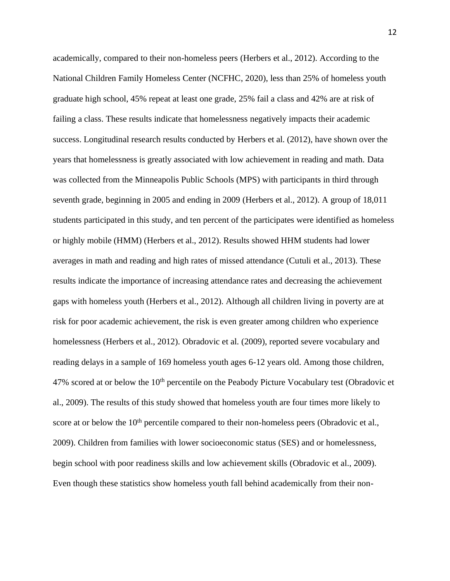academically, compared to their non-homeless peers (Herbers et al., 2012). According to the National Children Family Homeless Center (NCFHC, 2020), less than 25% of homeless youth graduate high school, 45% repeat at least one grade, 25% fail a class and 42% are at risk of failing a class. These results indicate that homelessness negatively impacts their academic success. Longitudinal research results conducted by Herbers et al. (2012), have shown over the years that homelessness is greatly associated with low achievement in reading and math. Data was collected from the Minneapolis Public Schools (MPS) with participants in third through seventh grade, beginning in 2005 and ending in 2009 (Herbers et al., 2012). A group of 18,011 students participated in this study, and ten percent of the participates were identified as homeless or highly mobile (HMM) (Herbers et al., 2012). Results showed HHM students had lower averages in math and reading and high rates of missed attendance (Cutuli et al., 2013). These results indicate the importance of increasing attendance rates and decreasing the achievement gaps with homeless youth (Herbers et al., 2012). Although all children living in poverty are at risk for poor academic achievement, the risk is even greater among children who experience homelessness (Herbers et al., 2012). Obradovic et al. (2009), reported severe vocabulary and reading delays in a sample of 169 homeless youth ages 6-12 years old. Among those children,  $47\%$  scored at or below the  $10<sup>th</sup>$  percentile on the Peabody Picture Vocabulary test (Obradovic et al., 2009). The results of this study showed that homeless youth are four times more likely to score at or below the  $10<sup>th</sup>$  percentile compared to their non-homeless peers (Obradovic et al., 2009). Children from families with lower socioeconomic status (SES) and or homelessness, begin school with poor readiness skills and low achievement skills (Obradovic et al., 2009). Even though these statistics show homeless youth fall behind academically from their non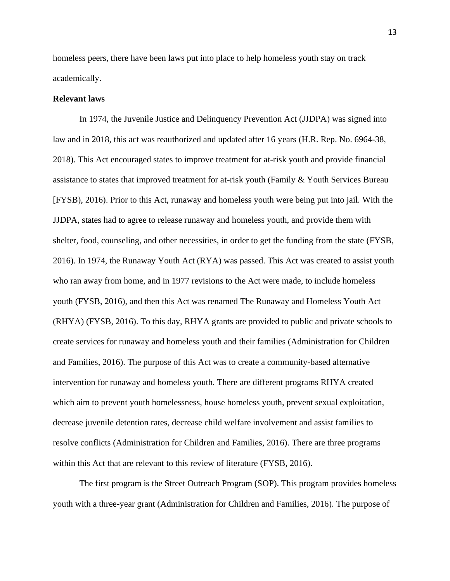homeless peers, there have been laws put into place to help homeless youth stay on track academically.

#### **Relevant laws**

In 1974, the Juvenile Justice and Delinquency Prevention Act (JJDPA) was signed into law and in 2018, this act was reauthorized and updated after 16 years (H.R. Rep. No. 6964-38, 2018). This Act encouraged states to improve treatment for at-risk youth and provide financial assistance to states that improved treatment for at-risk youth (Family & Youth Services Bureau [FYSB), 2016). Prior to this Act, runaway and homeless youth were being put into jail. With the JJDPA, states had to agree to release runaway and homeless youth, and provide them with shelter, food, counseling, and other necessities, in order to get the funding from the state (FYSB, 2016). In 1974, the Runaway Youth Act (RYA) was passed. This Act was created to assist youth who ran away from home, and in 1977 revisions to the Act were made, to include homeless youth (FYSB, 2016), and then this Act was renamed The Runaway and Homeless Youth Act (RHYA) (FYSB, 2016). To this day, RHYA grants are provided to public and private schools to create services for runaway and homeless youth and their families (Administration for Children and Families, 2016). The purpose of this Act was to create a community-based alternative intervention for runaway and homeless youth. There are different programs RHYA created which aim to prevent youth homelessness, house homeless youth, prevent sexual exploitation, decrease juvenile detention rates, decrease child welfare involvement and assist families to resolve conflicts (Administration for Children and Families, 2016). There are three programs within this Act that are relevant to this review of literature (FYSB, 2016).

The first program is the Street Outreach Program (SOP). This program provides homeless youth with a three-year grant (Administration for Children and Families, 2016). The purpose of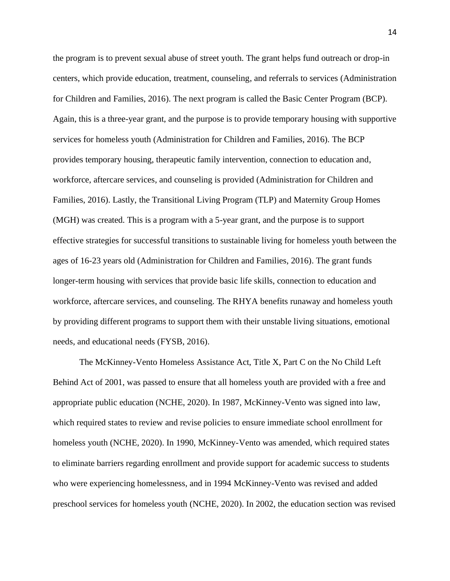the program is to prevent sexual abuse of street youth. The grant helps fund outreach or drop-in centers, which provide education, treatment, counseling, and referrals to services (Administration for Children and Families, 2016). The next program is called the Basic Center Program (BCP). Again, this is a three-year grant, and the purpose is to provide temporary housing with supportive services for homeless youth (Administration for Children and Families, 2016). The BCP provides temporary housing, therapeutic family intervention, connection to education and, workforce, aftercare services, and counseling is provided (Administration for Children and Families, 2016). Lastly, the Transitional Living Program (TLP) and Maternity Group Homes (MGH) was created. This is a program with a 5-year grant, and the purpose is to support effective strategies for successful transitions to sustainable living for homeless youth between the ages of 16-23 years old (Administration for Children and Families, 2016). The grant funds longer-term housing with services that provide basic life skills, connection to education and workforce, aftercare services, and counseling. The RHYA benefits runaway and homeless youth by providing different programs to support them with their unstable living situations, emotional needs, and educational needs (FYSB, 2016).

The McKinney-Vento Homeless Assistance Act, Title X, Part C on the No Child Left Behind Act of 2001, was passed to ensure that all homeless youth are provided with a free and appropriate public education (NCHE, 2020). In 1987, McKinney-Vento was signed into law, which required states to review and revise policies to ensure immediate school enrollment for homeless youth (NCHE, 2020). In 1990, McKinney-Vento was amended, which required states to eliminate barriers regarding enrollment and provide support for academic success to students who were experiencing homelessness, and in 1994 McKinney-Vento was revised and added preschool services for homeless youth (NCHE, 2020). In 2002, the education section was revised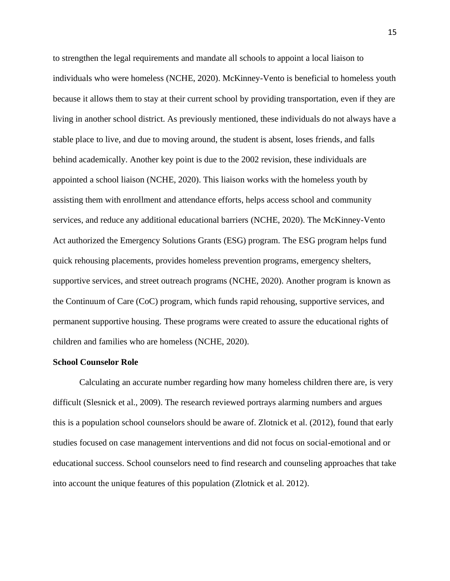to strengthen the legal requirements and mandate all schools to appoint a local liaison to individuals who were homeless (NCHE, 2020). McKinney-Vento is beneficial to homeless youth because it allows them to stay at their current school by providing transportation, even if they are living in another school district. As previously mentioned, these individuals do not always have a stable place to live, and due to moving around, the student is absent, loses friends, and falls behind academically. Another key point is due to the 2002 revision, these individuals are appointed a school liaison (NCHE, 2020). This liaison works with the homeless youth by assisting them with enrollment and attendance efforts, helps access school and community services, and reduce any additional educational barriers (NCHE, 2020). The McKinney-Vento Act authorized the Emergency Solutions Grants (ESG) program. The ESG program helps fund quick rehousing placements, provides homeless prevention programs, emergency shelters, supportive services, and street outreach programs (NCHE, 2020). Another program is known as the Continuum of Care (CoC) program, which funds rapid rehousing, supportive services, and permanent supportive housing. These programs were created to assure the educational rights of children and families who are homeless (NCHE, 2020).

#### **School Counselor Role**

Calculating an accurate number regarding how many homeless children there are, is very difficult (Slesnick et al., 2009). The research reviewed portrays alarming numbers and argues this is a population school counselors should be aware of. Zlotnick et al. (2012), found that early studies focused on case management interventions and did not focus on social-emotional and or educational success. School counselors need to find research and counseling approaches that take into account the unique features of this population (Zlotnick et al. 2012).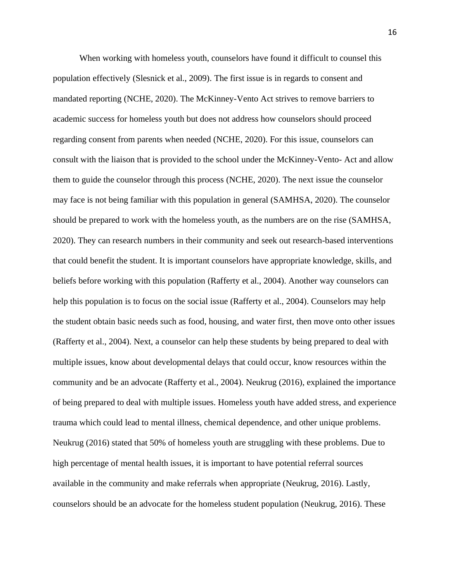When working with homeless youth, counselors have found it difficult to counsel this population effectively (Slesnick et al., 2009). The first issue is in regards to consent and mandated reporting (NCHE, 2020). The McKinney-Vento Act strives to remove barriers to academic success for homeless youth but does not address how counselors should proceed regarding consent from parents when needed (NCHE, 2020). For this issue, counselors can consult with the liaison that is provided to the school under the McKinney-Vento- Act and allow them to guide the counselor through this process (NCHE, 2020). The next issue the counselor may face is not being familiar with this population in general (SAMHSA, 2020). The counselor should be prepared to work with the homeless youth, as the numbers are on the rise (SAMHSA, 2020). They can research numbers in their community and seek out research-based interventions that could benefit the student. It is important counselors have appropriate knowledge, skills, and beliefs before working with this population (Rafferty et al., 2004). Another way counselors can help this population is to focus on the social issue (Rafferty et al., 2004). Counselors may help the student obtain basic needs such as food, housing, and water first, then move onto other issues (Rafferty et al., 2004). Next, a counselor can help these students by being prepared to deal with multiple issues, know about developmental delays that could occur, know resources within the community and be an advocate (Rafferty et al., 2004). Neukrug (2016), explained the importance of being prepared to deal with multiple issues. Homeless youth have added stress, and experience trauma which could lead to mental illness, chemical dependence, and other unique problems. Neukrug (2016) stated that 50% of homeless youth are struggling with these problems. Due to high percentage of mental health issues, it is important to have potential referral sources available in the community and make referrals when appropriate (Neukrug, 2016). Lastly, counselors should be an advocate for the homeless student population (Neukrug, 2016). These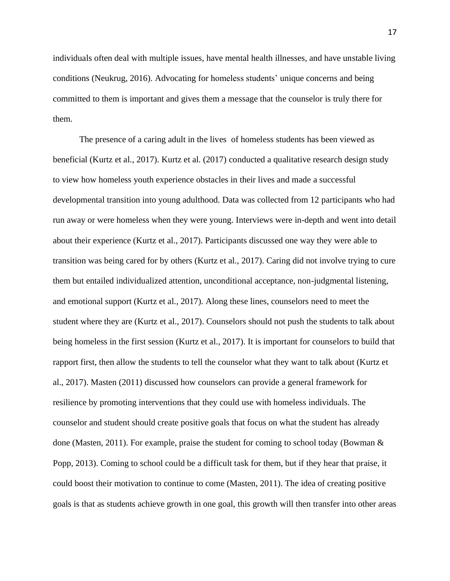individuals often deal with multiple issues, have mental health illnesses, and have unstable living conditions (Neukrug, 2016). Advocating for homeless students' unique concerns and being committed to them is important and gives them a message that the counselor is truly there for them.

The presence of a caring adult in the lives of homeless students has been viewed as beneficial (Kurtz et al., 2017). Kurtz et al. (2017) conducted a qualitative research design study to view how homeless youth experience obstacles in their lives and made a successful developmental transition into young adulthood. Data was collected from 12 participants who had run away or were homeless when they were young. Interviews were in-depth and went into detail about their experience (Kurtz et al., 2017). Participants discussed one way they were able to transition was being cared for by others (Kurtz et al., 2017). Caring did not involve trying to cure them but entailed individualized attention, unconditional acceptance, non-judgmental listening, and emotional support (Kurtz et al., 2017). Along these lines, counselors need to meet the student where they are (Kurtz et al., 2017). Counselors should not push the students to talk about being homeless in the first session (Kurtz et al., 2017). It is important for counselors to build that rapport first, then allow the students to tell the counselor what they want to talk about (Kurtz et al., 2017). Masten (2011) discussed how counselors can provide a general framework for resilience by promoting interventions that they could use with homeless individuals. The counselor and student should create positive goals that focus on what the student has already done (Masten, 2011). For example, praise the student for coming to school today (Bowman & Popp, 2013). Coming to school could be a difficult task for them, but if they hear that praise, it could boost their motivation to continue to come (Masten, 2011). The idea of creating positive goals is that as students achieve growth in one goal, this growth will then transfer into other areas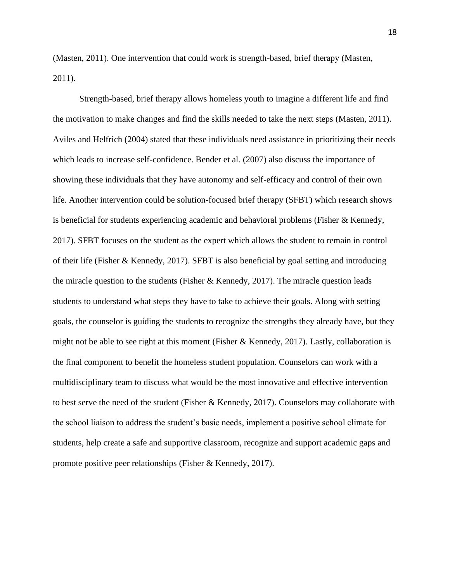(Masten, 2011). One intervention that could work is strength-based, brief therapy (Masten, 2011).

Strength-based, brief therapy allows homeless youth to imagine a different life and find the motivation to make changes and find the skills needed to take the next steps (Masten, 2011). Aviles and Helfrich (2004) stated that these individuals need assistance in prioritizing their needs which leads to increase self-confidence. Bender et al. (2007) also discuss the importance of showing these individuals that they have autonomy and self-efficacy and control of their own life. Another intervention could be solution-focused brief therapy (SFBT) which research shows is beneficial for students experiencing academic and behavioral problems (Fisher & Kennedy, 2017). SFBT focuses on the student as the expert which allows the student to remain in control of their life (Fisher & Kennedy, 2017). SFBT is also beneficial by goal setting and introducing the miracle question to the students (Fisher & Kennedy, 2017). The miracle question leads students to understand what steps they have to take to achieve their goals. Along with setting goals, the counselor is guiding the students to recognize the strengths they already have, but they might not be able to see right at this moment (Fisher & Kennedy, 2017). Lastly, collaboration is the final component to benefit the homeless student population. Counselors can work with a multidisciplinary team to discuss what would be the most innovative and effective intervention to best serve the need of the student (Fisher & Kennedy, 2017). Counselors may collaborate with the school liaison to address the student's basic needs, implement a positive school climate for students, help create a safe and supportive classroom, recognize and support academic gaps and promote positive peer relationships (Fisher & Kennedy, 2017).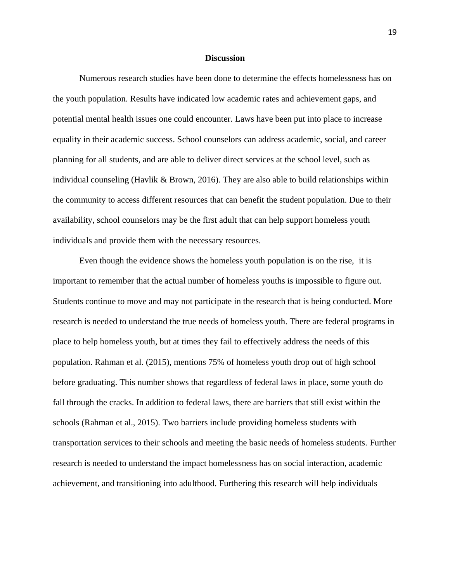#### **Discussion**

Numerous research studies have been done to determine the effects homelessness has on the youth population. Results have indicated low academic rates and achievement gaps, and potential mental health issues one could encounter. Laws have been put into place to increase equality in their academic success. School counselors can address academic, social, and career planning for all students, and are able to deliver direct services at the school level, such as individual counseling (Havlik & Brown, 2016). They are also able to build relationships within the community to access different resources that can benefit the student population. Due to their availability, school counselors may be the first adult that can help support homeless youth individuals and provide them with the necessary resources.

Even though the evidence shows the homeless youth population is on the rise, it is important to remember that the actual number of homeless youths is impossible to figure out. Students continue to move and may not participate in the research that is being conducted. More research is needed to understand the true needs of homeless youth. There are federal programs in place to help homeless youth, but at times they fail to effectively address the needs of this population. Rahman et al. (2015), mentions 75% of homeless youth drop out of high school before graduating. This number shows that regardless of federal laws in place, some youth do fall through the cracks. In addition to federal laws, there are barriers that still exist within the schools (Rahman et al., 2015). Two barriers include providing homeless students with transportation services to their schools and meeting the basic needs of homeless students. Further research is needed to understand the impact homelessness has on social interaction, academic achievement, and transitioning into adulthood. Furthering this research will help individuals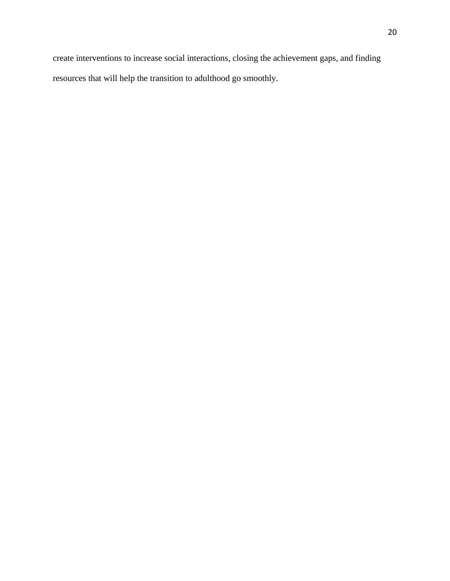create interventions to increase social interactions, closing the achievement gaps, and finding resources that will help the transition to adulthood go smoothly.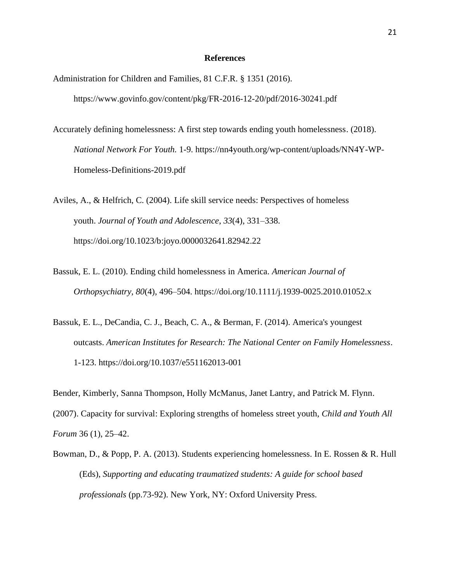#### **References**

- Administration for Children and Families, 81 C.F.R. § 1351 (2016). https://www.govinfo.gov/content/pkg/FR-2016-12-20/pdf/2016-30241.pdf
- Accurately defining homelessness: A first step towards ending youth homelessness. (2018). *National Network For Youth.* 1-9. https://nn4youth.org/wp-content/uploads/NN4Y-WP-Homeless-Definitions-2019.pdf

Aviles, A., & Helfrich, C. (2004). Life skill service needs: Perspectives of homeless youth. *Journal of Youth and Adolescence*, *33*(4), 331–338. https://doi.org/10.1023/b:joyo.0000032641.82942.22

- Bassuk, E. L. (2010). Ending child homelessness in America. *American Journal of Orthopsychiatry*, *80*(4), 496–504. https://doi.org/10.1111/j.1939-0025.2010.01052.x
- Bassuk, E. L., DeCandia, C. J., Beach, C. A., & Berman, F. (2014). America's youngest outcasts. *American Institutes for Research: The National Center on Family Homelessness*. 1-123. https://doi.org/10.1037/e551162013-001

Bender, Kimberly, Sanna Thompson, Holly McManus, Janet Lantry, and Patrick M. Flynn.

(2007). Capacity for survival: Exploring strengths of homeless street youth, *Child and Youth All Forum* 36 (1), 25–42.

Bowman, D., & Popp, P. A. (2013). Students experiencing homelessness. In E. Rossen & R. Hull (Eds), *Supporting and educating traumatized students: A guide for school based professionals* (pp.73-92). New York, NY: Oxford University Press.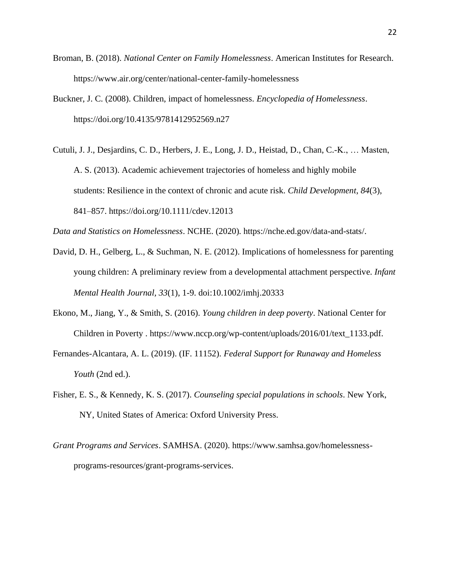- Broman, B. (2018). *National Center on Family Homelessness*. American Institutes for Research. https://www.air.org/center/national-center-family-homelessness
- Buckner, J. C. (2008). Children, impact of homelessness. *Encyclopedia of Homelessness*. https://doi.org/10.4135/9781412952569.n27
- Cutuli, J. J., Desjardins, C. D., Herbers, J. E., Long, J. D., Heistad, D., Chan, C.-K., … Masten, A. S. (2013). Academic achievement trajectories of homeless and highly mobile students: Resilience in the context of chronic and acute risk. *Child Development*, *84*(3), 841–857. https://doi.org/10.1111/cdev.12013

*Data and Statistics on Homelessness*. NCHE. (2020). https://nche.ed.gov/data-and-stats/.

- David, D. H., Gelberg, L., & Suchman, N. E. (2012). Implications of homelessness for parenting young children: A preliminary review from a developmental attachment perspective. *Infant Mental Health Journal, 33*(1), 1-9. doi:10.1002/imhj.20333
- Ekono, M., Jiang, Y., & Smith, S. (2016). *Young children in deep poverty*. National Center for Children in Poverty . https://www.nccp.org/wp-content/uploads/2016/01/text\_1133.pdf.
- Fernandes-Alcantara, A. L. (2019). (IF. 11152). *Federal Support for Runaway and Homeless Youth* (2nd ed.).
- Fisher, E. S., & Kennedy, K. S. (2017). *Counseling special populations in schools*. New York, NY, United States of America: Oxford University Press.
- *Grant Programs and Services*. SAMHSA. (2020). https://www.samhsa.gov/homelessnessprograms-resources/grant-programs-services.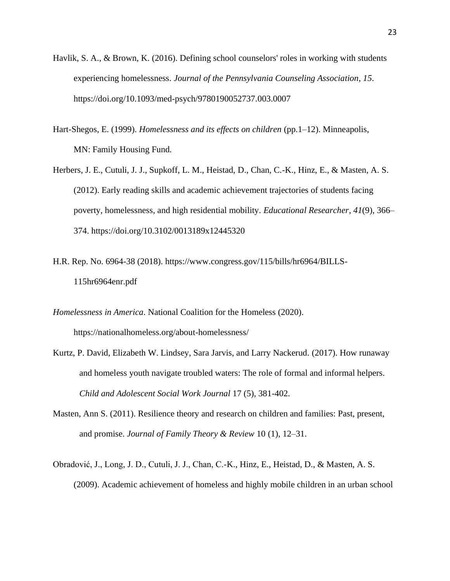- Havlik, S. A., & Brown, K. (2016). Defining school counselors' roles in working with students experiencing homelessness. *Journal of the Pennsylvania Counseling Association*, *15*. https://doi.org/10.1093/med-psych/9780190052737.003.0007
- Hart-Shegos, E. (1999). *Homelessness and its effects on children* (pp.1–12). Minneapolis, MN: Family Housing Fund*.*
- Herbers, J. E., Cutuli, J. J., Supkoff, L. M., Heistad, D., Chan, C.-K., Hinz, E., & Masten, A. S. (2012). Early reading skills and academic achievement trajectories of students facing poverty, homelessness, and high residential mobility. *Educational Researcher*, *41*(9), 366– 374. https://doi.org/10.3102/0013189x12445320
- H.R. Rep. No. 6964-38 (2018). https://www.congress.gov/115/bills/hr6964/BILLS-115hr6964enr.pdf

*Homelessness in America*. National Coalition for the Homeless (2020).

https://nationalhomeless.org/about-homelessness/

- Kurtz, P. David, Elizabeth W. Lindsey, Sara Jarvis, and Larry Nackerud. (2017). How runaway and homeless youth navigate troubled waters: The role of formal and informal helpers. *Child and Adolescent Social Work Journal* 17 (5), 381-402.
- Masten, Ann S. (2011). Resilience theory and research on children and families: Past, present, and promise. *Journal of Family Theory & Review* 10 (1), 12–31.
- Obradović, J., Long, J. D., Cutuli, J. J., Chan, C.-K., Hinz, E., Heistad, D., & Masten, A. S. (2009). Academic achievement of homeless and highly mobile children in an urban school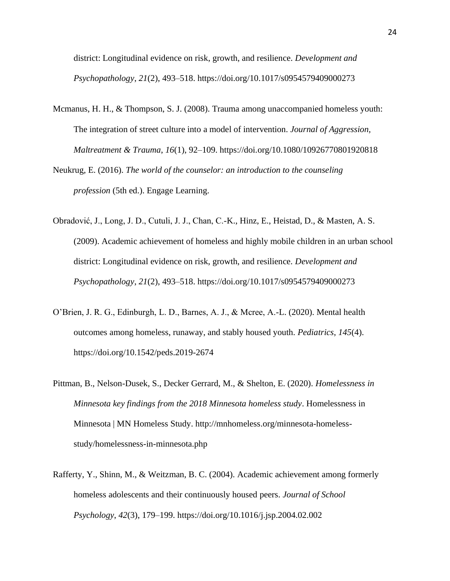district: Longitudinal evidence on risk, growth, and resilience. *Development and Psychopathology*, *21*(2), 493–518. https://doi.org/10.1017/s0954579409000273

- Mcmanus, H. H., & Thompson, S. J. (2008). Trauma among unaccompanied homeless youth: The integration of street culture into a model of intervention. *Journal of Aggression, Maltreatment & Trauma*, *16*(1), 92–109. https://doi.org/10.1080/10926770801920818
- Neukrug, E. (2016). *The world of the counselor: an introduction to the counseling profession* (5th ed.). Engage Learning.
- Obradović, J., Long, J. D., Cutuli, J. J., Chan, C.-K., Hinz, E., Heistad, D., & Masten, A. S. (2009). Academic achievement of homeless and highly mobile children in an urban school district: Longitudinal evidence on risk, growth, and resilience. *Development and Psychopathology*, *21*(2), 493–518. https://doi.org/10.1017/s0954579409000273
- O'Brien, J. R. G., Edinburgh, L. D., Barnes, A. J., & Mcree, A.-L. (2020). Mental health outcomes among homeless, runaway, and stably housed youth. *Pediatrics*, *145*(4). https://doi.org/10.1542/peds.2019-2674
- Pittman, B., Nelson-Dusek, S., Decker Gerrard, M., & Shelton, E. (2020). *Homelessness in Minnesota key findings from the 2018 Minnesota homeless study*. Homelessness in Minnesota | MN Homeless Study. http://mnhomeless.org/minnesota-homelessstudy/homelessness-in-minnesota.php
- Rafferty, Y., Shinn, M., & Weitzman, B. C. (2004). Academic achievement among formerly homeless adolescents and their continuously housed peers. *Journal of School Psychology*, *42*(3), 179–199. https://doi.org/10.1016/j.jsp.2004.02.002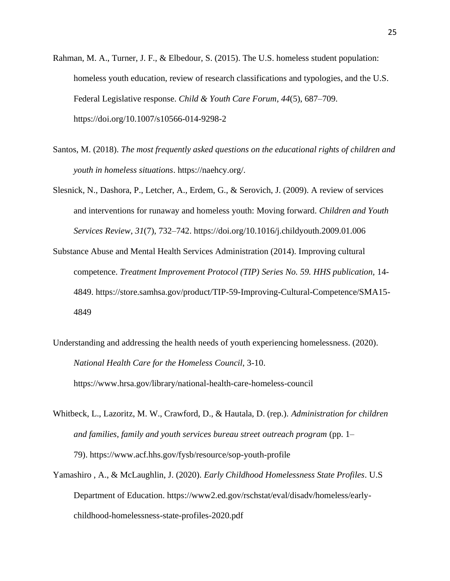- Rahman, M. A., Turner, J. F., & Elbedour, S. (2015). The U.S. homeless student population: homeless youth education, review of research classifications and typologies, and the U.S. Federal Legislative response. *Child & Youth Care Forum*, *44*(5), 687–709. https://doi.org/10.1007/s10566-014-9298-2
- Santos, M. (2018). *The most frequently asked questions on the educational rights of children and youth in homeless situations*. https://naehcy.org/.
- Slesnick, N., Dashora, P., Letcher, A., Erdem, G., & Serovich, J. (2009). A review of services and interventions for runaway and homeless youth: Moving forward. *Children and Youth Services Review*, *31*(7), 732–742. https://doi.org/10.1016/j.childyouth.2009.01.006
- Substance Abuse and Mental Health Services Administration (2014). Improving cultural competence. *Treatment Improvement Protocol (TIP) Series No.* 59. HHS publication, 14-4849. https://store.samhsa.gov/product/TIP-59-Improving-Cultural-Competence/SMA15- 4849
- Understanding and addressing the health needs of youth experiencing homelessness. (2020). *National Health Care for the Homeless Council*, 3-10.

https://www.hrsa.gov/library/national-health-care-homeless-council

- Whitbeck, L., Lazoritz, M. W., Crawford, D., & Hautala, D. (rep.). *Administration for children and families, family and youth services bureau street outreach program* (pp. 1– 79). https://www.acf.hhs.gov/fysb/resource/sop-youth-profile
- Yamashiro , A., & McLaughlin, J. (2020). *Early Childhood Homelessness State Profiles*. U.S Department of Education. https://www2.ed.gov/rschstat/eval/disadv/homeless/earlychildhood-homelessness-state-profiles-2020.pdf